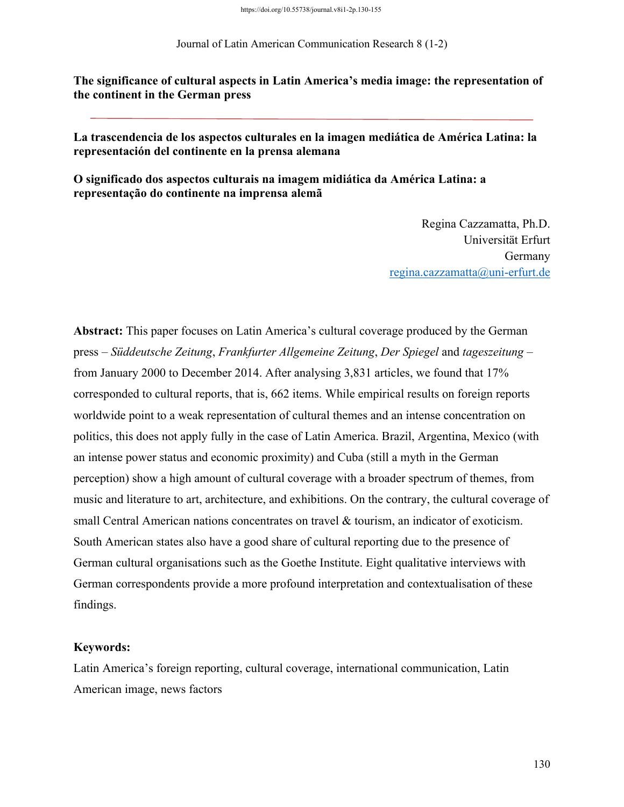Journal of Latin American Communication Research 8 (1-2)

**The significance of cultural aspects in Latin America's media image: the representation of the continent in the German press**

**La trascendencia de los aspectos culturales en la imagen mediática de América Latina: la representación del continente en la prensa alemana**

**O significado dos aspectos culturais na imagem midiática da América Latina: a representação do continente na imprensa alemã**

> Regina Cazzamatta, Ph.D. Universität Erfurt Germany regina.cazzamatta@uni-erfurt.de

**Abstract:** This paper focuses on Latin America's cultural coverage produced by the German press – *Süddeutsche Zeitung*, *Frankfurter Allgemeine Zeitung*, *Der Spiegel* and *tageszeitung* – from January 2000 to December 2014. After analysing 3,831 articles, we found that 17% corresponded to cultural reports, that is, 662 items. While empirical results on foreign reports worldwide point to a weak representation of cultural themes and an intense concentration on politics, this does not apply fully in the case of Latin America. Brazil, Argentina, Mexico (with an intense power status and economic proximity) and Cuba (still a myth in the German perception) show a high amount of cultural coverage with a broader spectrum of themes, from music and literature to art, architecture, and exhibitions. On the contrary, the cultural coverage of small Central American nations concentrates on travel & tourism, an indicator of exoticism. South American states also have a good share of cultural reporting due to the presence of German cultural organisations such as the Goethe Institute. Eight qualitative interviews with German correspondents provide a more profound interpretation and contextualisation of these findings.

## **Keywords:**

Latin America's foreign reporting, cultural coverage, international communication, Latin American image, news factors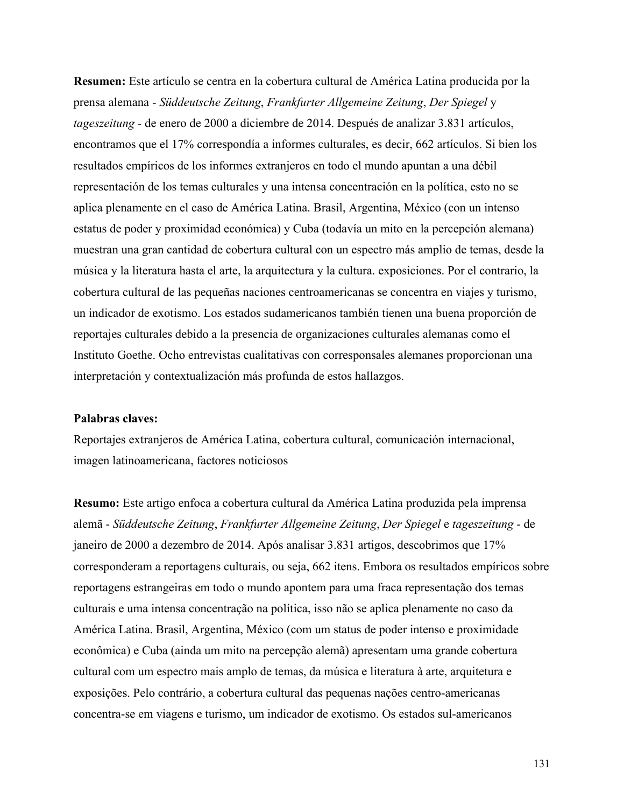**Resumen:** Este artículo se centra en la cobertura cultural de América Latina producida por la prensa alemana - *Süddeutsche Zeitung*, *Frankfurter Allgemeine Zeitung*, *Der Spiegel* y *tageszeitung* - de enero de 2000 a diciembre de 2014. Después de analizar 3.831 artículos, encontramos que el 17% correspondía a informes culturales, es decir, 662 artículos. Si bien los resultados empíricos de los informes extranjeros en todo el mundo apuntan a una débil representación de los temas culturales y una intensa concentración en la política, esto no se aplica plenamente en el caso de América Latina. Brasil, Argentina, México (con un intenso estatus de poder y proximidad económica) y Cuba (todavía un mito en la percepción alemana) muestran una gran cantidad de cobertura cultural con un espectro más amplio de temas, desde la música y la literatura hasta el arte, la arquitectura y la cultura. exposiciones. Por el contrario, la cobertura cultural de las pequeñas naciones centroamericanas se concentra en viajes y turismo, un indicador de exotismo. Los estados sudamericanos también tienen una buena proporción de reportajes culturales debido a la presencia de organizaciones culturales alemanas como el Instituto Goethe. Ocho entrevistas cualitativas con corresponsales alemanes proporcionan una interpretación y contextualización más profunda de estos hallazgos.

## **Palabras claves:**

Reportajes extranjeros de América Latina, cobertura cultural, comunicación internacional, imagen latinoamericana, factores noticiosos

**Resumo:** Este artigo enfoca a cobertura cultural da América Latina produzida pela imprensa alemã - *Süddeutsche Zeitung*, *Frankfurter Allgemeine Zeitung*, *Der Spiegel* e *tageszeitung* - de janeiro de 2000 a dezembro de 2014. Após analisar 3.831 artigos, descobrimos que 17% corresponderam a reportagens culturais, ou seja, 662 itens. Embora os resultados empíricos sobre reportagens estrangeiras em todo o mundo apontem para uma fraca representação dos temas culturais e uma intensa concentração na política, isso não se aplica plenamente no caso da América Latina. Brasil, Argentina, México (com um status de poder intenso e proximidade econômica) e Cuba (ainda um mito na percepção alemã) apresentam uma grande cobertura cultural com um espectro mais amplo de temas, da música e literatura à arte, arquitetura e exposições. Pelo contrário, a cobertura cultural das pequenas nações centro-americanas concentra-se em viagens e turismo, um indicador de exotismo. Os estados sul-americanos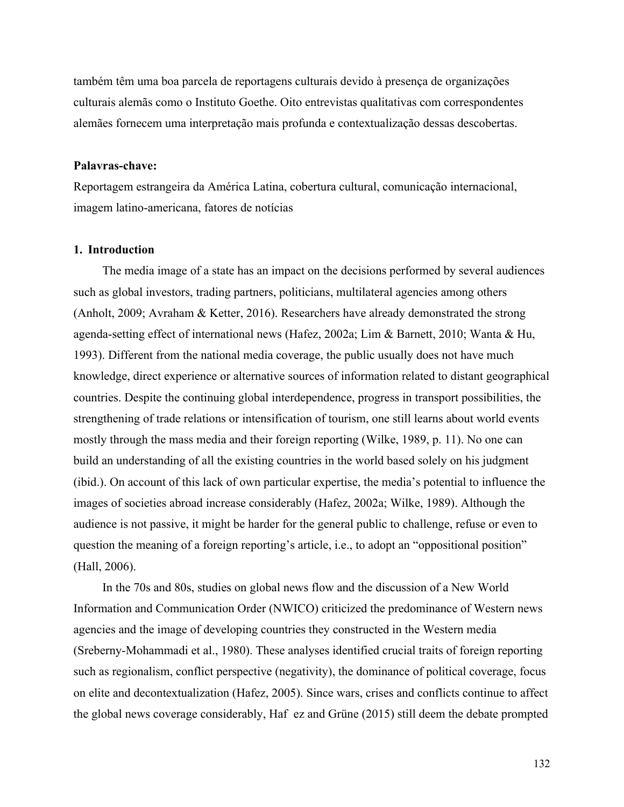também têm uma boa parcela de reportagens culturais devido à presença de organizações culturais alemãs como o Instituto Goethe. Oito entrevistas qualitativas com correspondentes alemães fornecem uma interpretação mais profunda e contextualização dessas descobertas.

#### **Palavras-chave:**

Reportagem estrangeira da América Latina, cobertura cultural, comunicação internacional, imagem latino-americana, fatores de notícias

#### **1. Introduction**

The media image of a state has an impact on the decisions performed by several audiences such as global investors, trading partners, politicians, multilateral agencies among others (Anholt, 2009; Avraham & Ketter, 2016). Researchers have already demonstrated the strong agenda-setting effect of international news (Hafez, 2002a; Lim & Barnett, 2010; Wanta & Hu, 1993). Different from the national media coverage, the public usually does not have much knowledge, direct experience or alternative sources of information related to distant geographical countries. Despite the continuing global interdependence, progress in transport possibilities, the strengthening of trade relations or intensification of tourism, one still learns about world events mostly through the mass media and their foreign reporting (Wilke, 1989, p. 11). No one can build an understanding of all the existing countries in the world based solely on his judgment (ibid.). On account of this lack of own particular expertise, the media's potential to influence the images of societies abroad increase considerably (Hafez, 2002a; Wilke, 1989). Although the audience is not passive, it might be harder for the general public to challenge, refuse or even to question the meaning of a foreign reporting's article, i.e., to adopt an "oppositional position" (Hall, 2006).

In the 70s and 80s, studies on global news flow and the discussion of a New World Information and Communication Order (NWICO) criticized the predominance of Western news agencies and the image of developing countries they constructed in the Western media (Sreberny-Mohammadi et al., 1980). These analyses identified crucial traits of foreign reporting such as regionalism, conflict perspective (negativity), the dominance of political coverage, focus on elite and decontextualization (Hafez, 2005). Since wars, crises and conflicts continue to affect the global news coverage considerably, Haf ez and Grüne (2015) still deem the debate prompted

132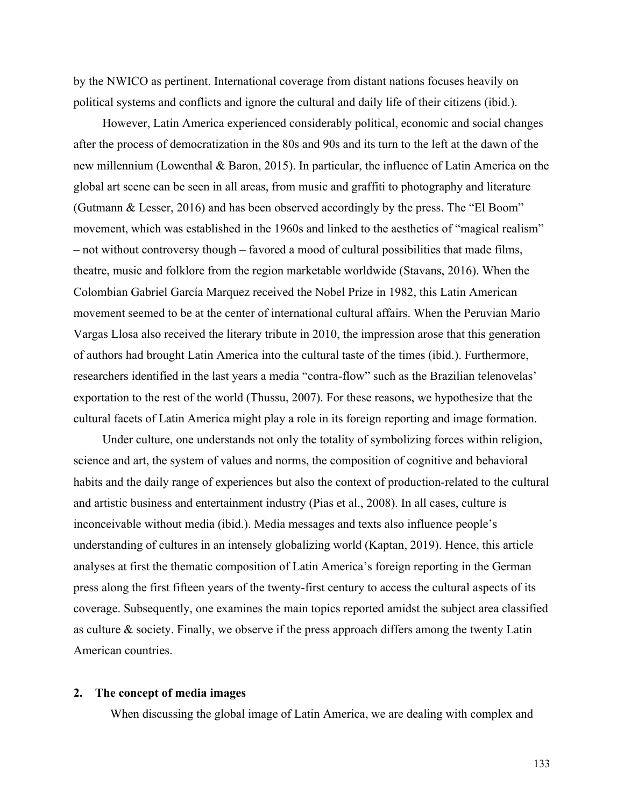by the NWICO as pertinent. International coverage from distant nations focuses heavily on political systems and conflicts and ignore the cultural and daily life of their citizens (ibid.).

However, Latin America experienced considerably political, economic and social changes after the process of democratization in the 80s and 90s and its turn to the left at the dawn of the new millennium (Lowenthal & Baron, 2015). In particular, the influence of Latin America on the global art scene can be seen in all areas, from music and graffiti to photography and literature (Gutmann & Lesser, 2016) and has been observed accordingly by the press. The "El Boom" movement, which was established in the 1960s and linked to the aesthetics of "magical realism" – not without controversy though – favored a mood of cultural possibilities that made films, theatre, music and folklore from the region marketable worldwide (Stavans, 2016). When the Colombian Gabriel García Marquez received the Nobel Prize in 1982, this Latin American movement seemed to be at the center of international cultural affairs. When the Peruvian Mario Vargas Llosa also received the literary tribute in 2010, the impression arose that this generation of authors had brought Latin America into the cultural taste of the times (ibid.). Furthermore, researchers identified in the last years a media "contra-flow" such as the Brazilian telenovelas' exportation to the rest of the world (Thussu, 2007). For these reasons, we hypothesize that the cultural facets of Latin America might play a role in its foreign reporting and image formation.

Under culture, one understands not only the totality of symbolizing forces within religion, science and art, the system of values and norms, the composition of cognitive and behavioral habits and the daily range of experiences but also the context of production-related to the cultural and artistic business and entertainment industry (Pias et al., 2008). In all cases, culture is inconceivable without media (ibid.). Media messages and texts also influence people's understanding of cultures in an intensely globalizing world (Kaptan, 2019). Hence, this article analyses at first the thematic composition of Latin America's foreign reporting in the German press along the first fifteen years of the twenty-first century to access the cultural aspects of its coverage. Subsequently, one examines the main topics reported amidst the subject area classified as culture & society. Finally, we observe if the press approach differs among the twenty Latin American countries.

#### **2. The concept of media images**

When discussing the global image of Latin America, we are dealing with complex and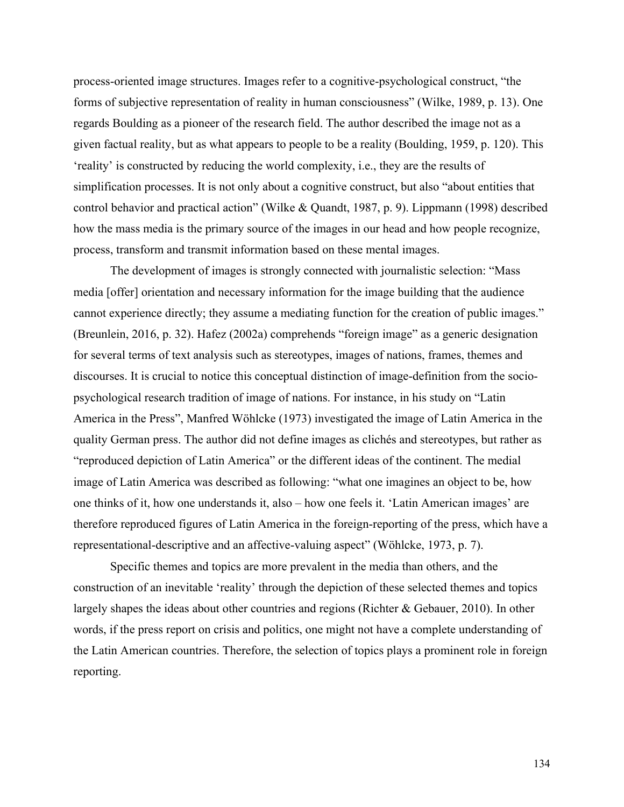process-oriented image structures. Images refer to a cognitive-psychological construct, "the forms of subjective representation of reality in human consciousness" (Wilke, 1989, p. 13). One regards Boulding as a pioneer of the research field. The author described the image not as a given factual reality, but as what appears to people to be a reality (Boulding, 1959, p. 120). This 'reality' is constructed by reducing the world complexity, i.e., they are the results of simplification processes. It is not only about a cognitive construct, but also "about entities that control behavior and practical action" (Wilke & Quandt, 1987, p. 9). Lippmann (1998) described how the mass media is the primary source of the images in our head and how people recognize, process, transform and transmit information based on these mental images.

The development of images is strongly connected with journalistic selection: "Mass media [offer] orientation and necessary information for the image building that the audience cannot experience directly; they assume a mediating function for the creation of public images." (Breunlein, 2016, p. 32). Hafez (2002a) comprehends "foreign image" as a generic designation for several terms of text analysis such as stereotypes, images of nations, frames, themes and discourses. It is crucial to notice this conceptual distinction of image-definition from the sociopsychological research tradition of image of nations. For instance, in his study on "Latin America in the Press", Manfred Wöhlcke (1973) investigated the image of Latin America in the quality German press. The author did not define images as clichés and stereotypes, but rather as "reproduced depiction of Latin America" or the different ideas of the continent. The medial image of Latin America was described as following: "what one imagines an object to be, how one thinks of it, how one understands it, also – how one feels it. 'Latin American images' are therefore reproduced figures of Latin America in the foreign-reporting of the press, which have a representational-descriptive and an affective-valuing aspect" (Wöhlcke, 1973, p. 7).

Specific themes and topics are more prevalent in the media than others, and the construction of an inevitable 'reality' through the depiction of these selected themes and topics largely shapes the ideas about other countries and regions (Richter & Gebauer, 2010). In other words, if the press report on crisis and politics, one might not have a complete understanding of the Latin American countries. Therefore, the selection of topics plays a prominent role in foreign reporting.

134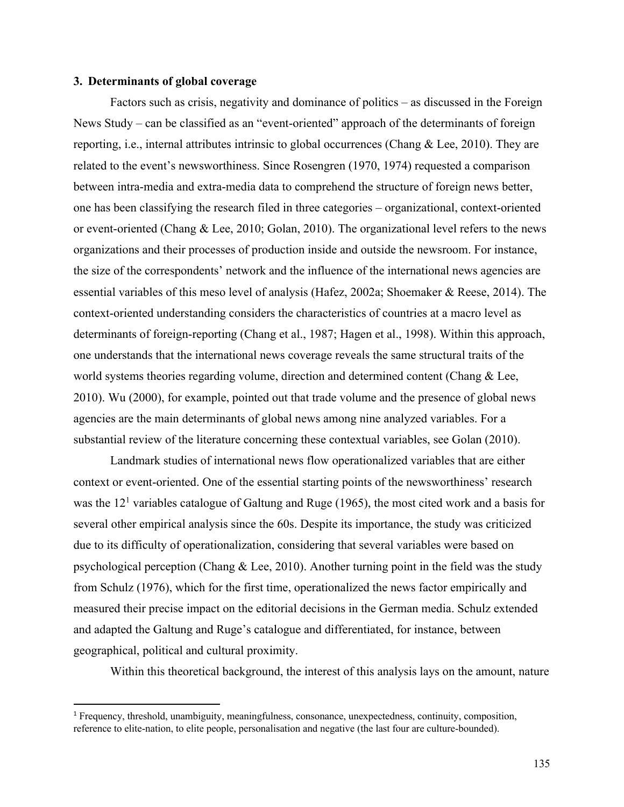#### **3. Determinants of global coverage**

Factors such as crisis, negativity and dominance of politics – as discussed in the Foreign News Study – can be classified as an "event-oriented" approach of the determinants of foreign reporting, i.e., internal attributes intrinsic to global occurrences (Chang & Lee, 2010). They are related to the event's newsworthiness. Since Rosengren (1970, 1974) requested a comparison between intra-media and extra-media data to comprehend the structure of foreign news better, one has been classifying the research filed in three categories – organizational, context-oriented or event-oriented (Chang & Lee, 2010; Golan, 2010). The organizational level refers to the news organizations and their processes of production inside and outside the newsroom. For instance, the size of the correspondents' network and the influence of the international news agencies are essential variables of this meso level of analysis (Hafez, 2002a; Shoemaker & Reese, 2014). The context-oriented understanding considers the characteristics of countries at a macro level as determinants of foreign-reporting (Chang et al., 1987; Hagen et al., 1998). Within this approach, one understands that the international news coverage reveals the same structural traits of the world systems theories regarding volume, direction and determined content (Chang & Lee, 2010). Wu (2000), for example, pointed out that trade volume and the presence of global news agencies are the main determinants of global news among nine analyzed variables. For a substantial review of the literature concerning these contextual variables, see Golan (2010).

Landmark studies of international news flow operationalized variables that are either context or event-oriented. One of the essential starting points of the newsworthiness' research was the  $12<sup>1</sup>$  variables catalogue of Galtung and Ruge (1965), the most cited work and a basis for several other empirical analysis since the 60s. Despite its importance, the study was criticized due to its difficulty of operationalization, considering that several variables were based on psychological perception (Chang  $&$  Lee, 2010). Another turning point in the field was the study from Schulz (1976), which for the first time, operationalized the news factor empirically and measured their precise impact on the editorial decisions in the German media. Schulz extended and adapted the Galtung and Ruge's catalogue and differentiated, for instance, between geographical, political and cultural proximity.

Within this theoretical background, the interest of this analysis lays on the amount, nature

<sup>1</sup> Frequency, threshold, unambiguity, meaningfulness, consonance, unexpectedness, continuity, composition, reference to elite-nation, to elite people, personalisation and negative (the last four are culture-bounded).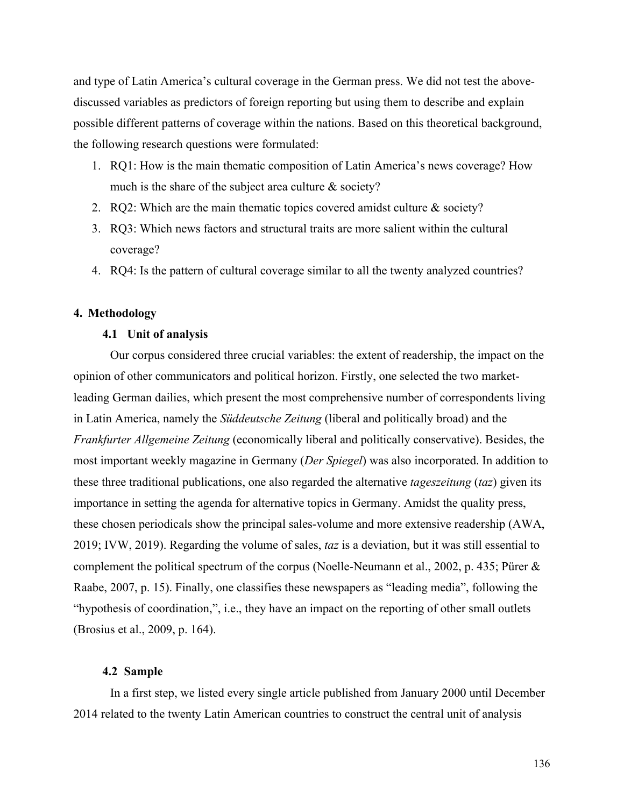and type of Latin America's cultural coverage in the German press. We did not test the abovediscussed variables as predictors of foreign reporting but using them to describe and explain possible different patterns of coverage within the nations. Based on this theoretical background, the following research questions were formulated:

- 1. RQ1: How is the main thematic composition of Latin America's news coverage? How much is the share of the subject area culture & society?
- 2. RQ2: Which are the main thematic topics covered amidst culture & society?
- 3. RQ3: Which news factors and structural traits are more salient within the cultural coverage?
- 4. RQ4: Is the pattern of cultural coverage similar to all the twenty analyzed countries?

## **4. Methodology**

### **4.1 Unit of analysis**

Our corpus considered three crucial variables: the extent of readership, the impact on the opinion of other communicators and political horizon. Firstly, one selected the two marketleading German dailies, which present the most comprehensive number of correspondents living in Latin America, namely the *Süddeutsche Zeitung* (liberal and politically broad) and the *Frankfurter Allgemeine Zeitung* (economically liberal and politically conservative). Besides, the most important weekly magazine in Germany (*Der Spiegel*) was also incorporated. In addition to these three traditional publications, one also regarded the alternative *tageszeitung* (*taz*) given its importance in setting the agenda for alternative topics in Germany. Amidst the quality press, these chosen periodicals show the principal sales-volume and more extensive readership (AWA, 2019; IVW, 2019). Regarding the volume of sales, *taz* is a deviation, but it was still essential to complement the political spectrum of the corpus (Noelle-Neumann et al., 2002, p. 435; Pürer & Raabe, 2007, p. 15). Finally, one classifies these newspapers as "leading media", following the "hypothesis of coordination,", i.e., they have an impact on the reporting of other small outlets (Brosius et al., 2009, p. 164).

## **4.2 Sample**

In a first step, we listed every single article published from January 2000 until December 2014 related to the twenty Latin American countries to construct the central unit of analysis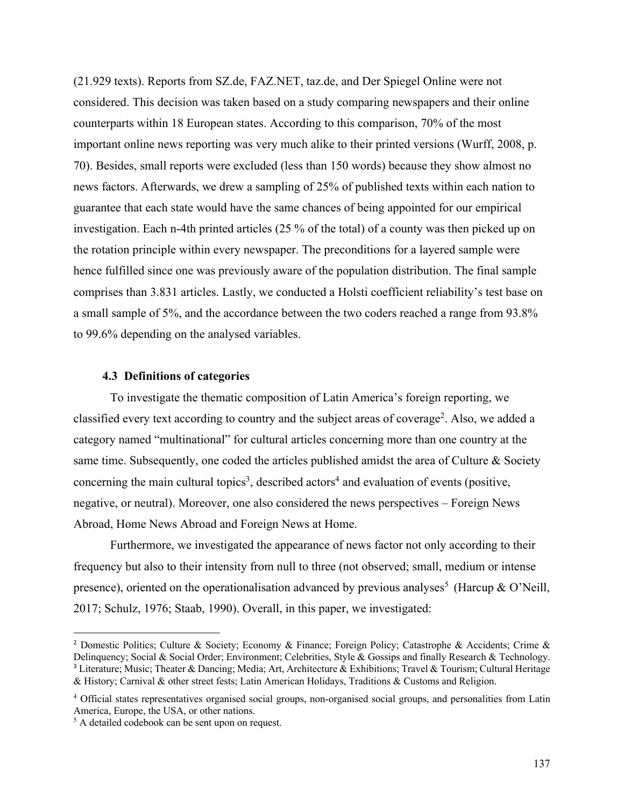(21.929 texts). Reports from SZ.de, FAZ.NET, taz.de, and Der Spiegel Online were not considered. This decision was taken based on a study comparing newspapers and their online counterparts within 18 European states. According to this comparison, 70% of the most important online news reporting was very much alike to their printed versions (Wurff, 2008, p. 70). Besides, small reports were excluded (less than 150 words) because they show almost no news factors. Afterwards, we drew a sampling of 25% of published texts within each nation to guarantee that each state would have the same chances of being appointed for our empirical investigation. Each n-4th printed articles (25 % of the total) of a county was then picked up on the rotation principle within every newspaper. The preconditions for a layered sample were hence fulfilled since one was previously aware of the population distribution. The final sample comprises than 3.831 articles. Lastly, we conducted a Holsti coefficient reliability's test base on a small sample of 5%, and the accordance between the two coders reached a range from 93.8% to 99.6% depending on the analysed variables.

## **4.3 Definitions of categories**

To investigate the thematic composition of Latin America's foreign reporting, we classified every text according to country and the subject areas of coverage<sup>2</sup>. Also, we added a category named "multinational" for cultural articles concerning more than one country at the same time. Subsequently, one coded the articles published amidst the area of Culture & Society concerning the main cultural topics<sup>3</sup>, described actors<sup>4</sup> and evaluation of events (positive, negative, or neutral). Moreover, one also considered the news perspectives – Foreign News Abroad, Home News Abroad and Foreign News at Home.

Furthermore, we investigated the appearance of news factor not only according to their frequency but also to their intensity from null to three (not observed; small, medium or intense presence), oriented on the operationalisation advanced by previous analyses<sup>5</sup> (Harcup & O'Neill, 2017; Schulz, 1976; Staab, 1990). Overall, in this paper, we investigated:

<sup>&</sup>lt;sup>2</sup> Domestic Politics; Culture & Society; Economy & Finance; Foreign Policy; Catastrophe & Accidents; Crime & Delinquency; Social & Social Order; Environment; Celebrities, Style & Gossips and finally Research & Technology. <sup>3</sup> Literature; Music; Theater & Dancing; Media; Art, Architecture & Exhibitions; Travel & Tourism; Cultural Heritage & History; Carnival & other street fests; Latin American Holidays, Traditions & Customs and Religion.

<sup>&</sup>lt;sup>4</sup> Official states representatives organised social groups, non-organised social groups, and personalities from Latin America, Europe, the USA, or other nations.

<sup>&</sup>lt;sup>5</sup> A detailed codebook can be sent upon on request.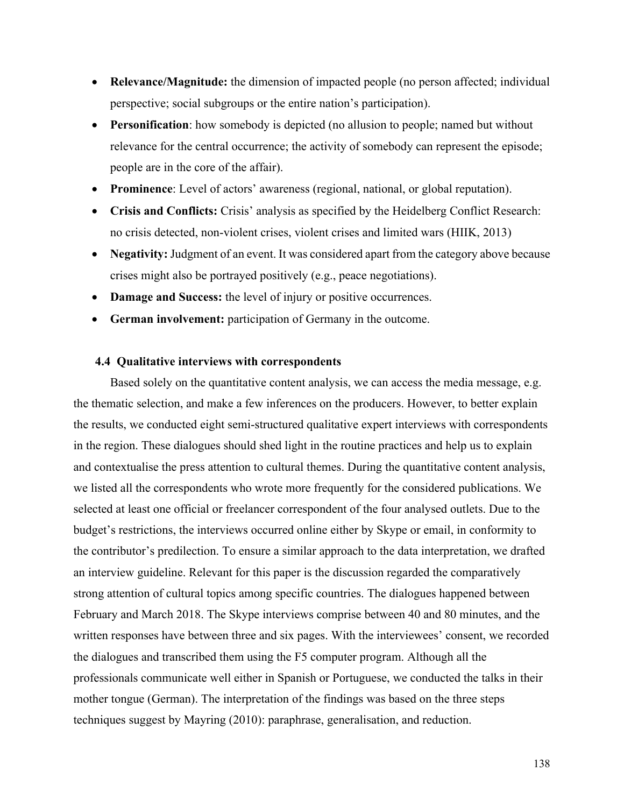- **Relevance/Magnitude:** the dimension of impacted people (no person affected; individual perspective; social subgroups or the entire nation's participation).
- **Personification**: how somebody is depicted (no allusion to people; named but without relevance for the central occurrence; the activity of somebody can represent the episode; people are in the core of the affair).
- **Prominence**: Level of actors' awareness (regional, national, or global reputation).
- **Crisis and Conflicts:** Crisis' analysis as specified by the Heidelberg Conflict Research: no crisis detected, non-violent crises, violent crises and limited wars (HIIK, 2013)
- **Negativity:** Judgment of an event. It was considered apart from the category above because crises might also be portrayed positively (e.g., peace negotiations).
- **Damage and Success:** the level of injury or positive occurrences.
- **German involvement:** participation of Germany in the outcome.

## **4.4 Qualitative interviews with correspondents**

Based solely on the quantitative content analysis, we can access the media message, e.g. the thematic selection, and make a few inferences on the producers. However, to better explain the results, we conducted eight semi-structured qualitative expert interviews with correspondents in the region. These dialogues should shed light in the routine practices and help us to explain and contextualise the press attention to cultural themes. During the quantitative content analysis, we listed all the correspondents who wrote more frequently for the considered publications. We selected at least one official or freelancer correspondent of the four analysed outlets. Due to the budget's restrictions, the interviews occurred online either by Skype or email, in conformity to the contributor's predilection. To ensure a similar approach to the data interpretation, we drafted an interview guideline. Relevant for this paper is the discussion regarded the comparatively strong attention of cultural topics among specific countries. The dialogues happened between February and March 2018. The Skype interviews comprise between 40 and 80 minutes, and the written responses have between three and six pages. With the interviewees' consent, we recorded the dialogues and transcribed them using the F5 computer program. Although all the professionals communicate well either in Spanish or Portuguese, we conducted the talks in their mother tongue (German). The interpretation of the findings was based on the three steps techniques suggest by Mayring (2010): paraphrase, generalisation, and reduction.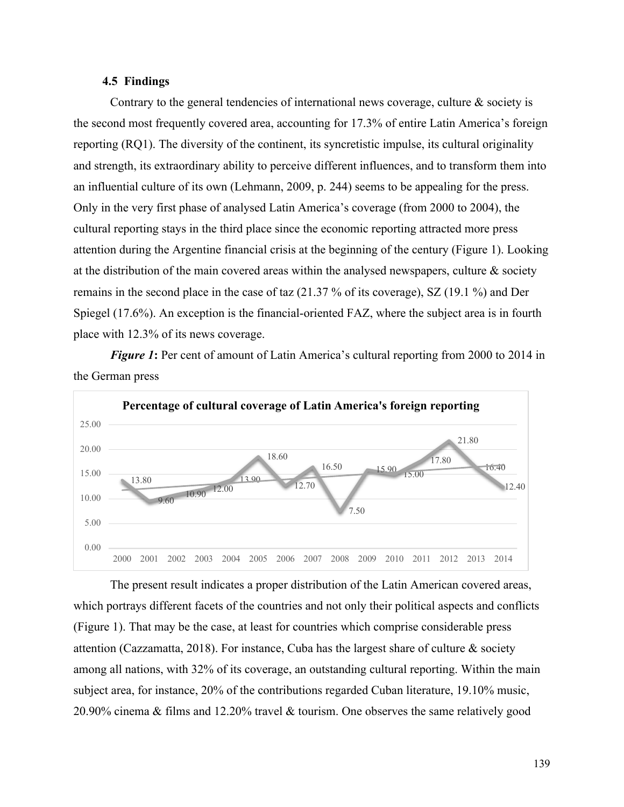# **4.5 Findings**

Contrary to the general tendencies of international news coverage, culture  $\&$  society is the second most frequently covered area, accounting for 17.3% of entire Latin America's foreign reporting (RQ1). The diversity of the continent, its syncretistic impulse, its cultural originality and strength, its extraordinary ability to perceive different influences, and to transform them into an influential culture of its own (Lehmann, 2009, p. 244) seems to be appealing for the press. Only in the very first phase of analysed Latin America's coverage (from 2000 to 2004), the cultural reporting stays in the third place since the economic reporting attracted more press attention during the Argentine financial crisis at the beginning of the century (Figure 1). Looking at the distribution of the main covered areas within the analysed newspapers, culture  $\&$  society remains in the second place in the case of taz (21.37 % of its coverage), SZ (19.1 %) and Der Spiegel (17.6%). An exception is the financial-oriented FAZ, where the subject area is in fourth place with 12.3% of its news coverage.

*Figure 1*: Per cent of amount of Latin America's cultural reporting from 2000 to 2014 in the German press



The present result indicates a proper distribution of the Latin American covered areas, which portrays different facets of the countries and not only their political aspects and conflicts (Figure 1). That may be the case, at least for countries which comprise considerable press attention (Cazzamatta, 2018). For instance, Cuba has the largest share of culture  $\&$  society among all nations, with 32% of its coverage, an outstanding cultural reporting. Within the main subject area, for instance, 20% of the contributions regarded Cuban literature, 19.10% music, 20.90% cinema & films and 12.20% travel & tourism. One observes the same relatively good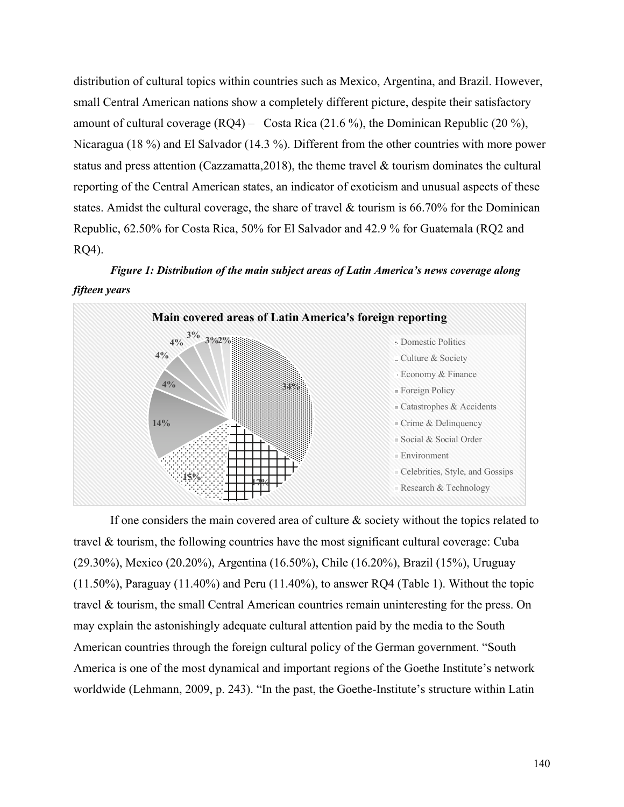distribution of cultural topics within countries such as Mexico, Argentina, and Brazil. However, small Central American nations show a completely different picture, despite their satisfactory amount of cultural coverage  $(RQ4)$  – Costa Rica (21.6 %), the Dominican Republic (20 %), Nicaragua (18 %) and El Salvador (14.3 %). Different from the other countries with more power status and press attention (Cazzamatta,2018), the theme travel & tourism dominates the cultural reporting of the Central American states, an indicator of exoticism and unusual aspects of these states. Amidst the cultural coverage, the share of travel & tourism is 66.70% for the Dominican Republic, 62.50% for Costa Rica, 50% for El Salvador and 42.9 % for Guatemala (RQ2 and RQ4).

*Figure 1: Distribution of the main subject areas of Latin America's news coverage along fifteen years*



If one considers the main covered area of culture & society without the topics related to travel & tourism, the following countries have the most significant cultural coverage: Cuba (29.30%), Mexico (20.20%), Argentina (16.50%), Chile (16.20%), Brazil (15%), Uruguay (11.50%), Paraguay (11.40%) and Peru (11.40%), to answer RQ4 (Table 1). Without the topic travel & tourism, the small Central American countries remain uninteresting for the press. On may explain the astonishingly adequate cultural attention paid by the media to the South American countries through the foreign cultural policy of the German government. "South America is one of the most dynamical and important regions of the Goethe Institute's network worldwide (Lehmann, 2009, p. 243). "In the past, the Goethe-Institute's structure within Latin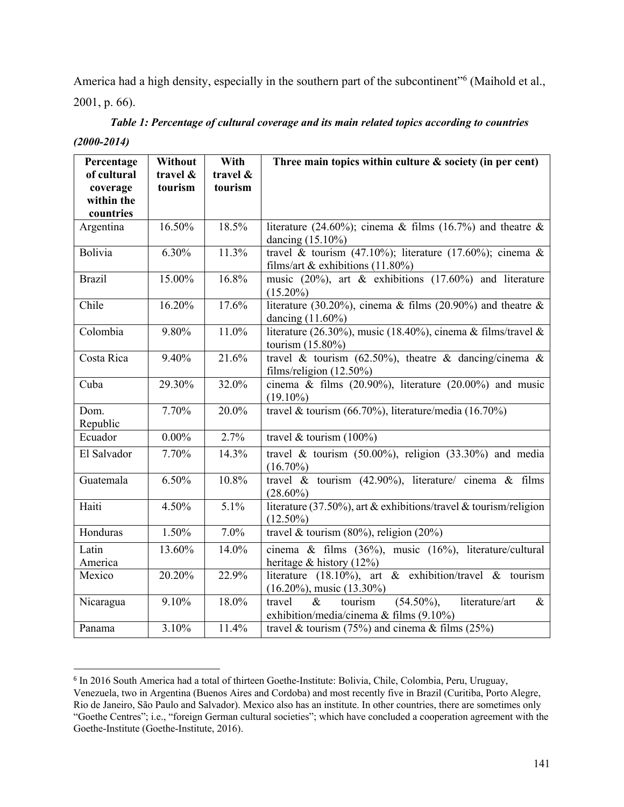America had a high density, especially in the southern part of the subcontinent"<sup>6</sup> (Maihold et al., 2001, p. 66).

| Table 1: Percentage of cultural coverage and its main related topics according to countries |  |
|---------------------------------------------------------------------------------------------|--|
|                                                                                             |  |

*(2000-2014)*

| Percentage             | Without  | With     | Three main topics within culture $\&$ society (in per cent)                                                       |
|------------------------|----------|----------|-------------------------------------------------------------------------------------------------------------------|
| of cultural            | travel & | travel & |                                                                                                                   |
| coverage<br>within the | tourism  | tourism  |                                                                                                                   |
| countries              |          |          |                                                                                                                   |
| Argentina              | 16.50%   | 18.5%    | literature (24.60%); cinema & films (16.7%) and theatre &                                                         |
|                        |          |          | dancing $(15.10\%)$                                                                                               |
| Bolivia                | 6.30%    | 11.3%    | travel & tourism (47.10%); literature (17.60%); cinema &<br>films/art & exhibitions $(11.80\%)$                   |
| <b>Brazil</b>          | 15.00%   | 16.8%    | music $(20\%)$ , art & exhibitions $(17.60\%)$ and literature<br>$(15.20\%)$                                      |
| Chile                  | 16.20%   | 17.6%    | literature (30.20%), cinema & films (20.90%) and theatre $\&$<br>dancing $(11.60\%)$                              |
| Colombia               | 9.80%    | 11.0%    | literature (26.30%), music (18.40%), cinema & films/travel &<br>tourism (15.80%)                                  |
| Costa Rica             | 9.40%    | 21.6%    | travel & tourism (62.50%), theatre & dancing/cinema &<br>films/religion $(12.50\%)$                               |
| Cuba                   | 29.30%   | 32.0%    | cinema & films $(20.90\%)$ , literature $(20.00\%)$ and music<br>$(19.10\%)$                                      |
| Dom.<br>Republic       | 7.70%    | 20.0%    | travel & tourism (66.70%), literature/media (16.70%)                                                              |
| Ecuador                | $0.00\%$ | 2.7%     | travel & tourism $(100\%)$                                                                                        |
| El Salvador            | 7.70%    | 14.3%    | travel & tourism $(50.00\%)$ , religion $(33.30\%)$ and media<br>$(16.70\%)$                                      |
| Guatemala              | 6.50%    | 10.8%    | travel & tourism $(42.90\%)$ , literature/ cinema & films<br>$(28.60\%)$                                          |
| Haiti                  | 4.50%    | 5.1%     | literature (37.50%), art & exhibitions/travel & tourism/religion<br>$(12.50\%)$                                   |
| Honduras               | 1.50%    | 7.0%     | travel & tourism $(80\%)$ , religion $(20\%)$                                                                     |
| Latin                  | 13.60%   | 14.0%    | cinema & films (36%), music (16%), literature/cultural                                                            |
| America                |          |          | heritage & history $(12\%)$                                                                                       |
| Mexico                 | 20.20%   | 22.9%    | literature (18.10%), art & $\overline{exhibition/travel}$ & tourism<br>$(16.20\%)$ , music $(13.30\%)$            |
| Nicaragua              | 9.10%    | 18.0%    | $(54.50\%),$<br>literature/art<br>tourism<br>travel<br>$\&$<br>$\&$<br>exhibition/media/cinema & films $(9.10\%)$ |
| Panama                 | 3.10%    | 11.4%    | travel & tourism (75%) and cinema & films (25%)                                                                   |

<sup>6</sup> In 2016 South America had a total of thirteen Goethe-Institute: Bolivia, Chile, Colombia, Peru, Uruguay, Venezuela, two in Argentina (Buenos Aires and Cordoba) and most recently five in Brazil (Curitiba, Porto Alegre, Rio de Janeiro, São Paulo and Salvador). Mexico also has an institute. In other countries, there are sometimes only "Goethe Centres"; i.e., "foreign German cultural societies"; which have concluded a cooperation agreement with the Goethe-Institute (Goethe-Institute, 2016).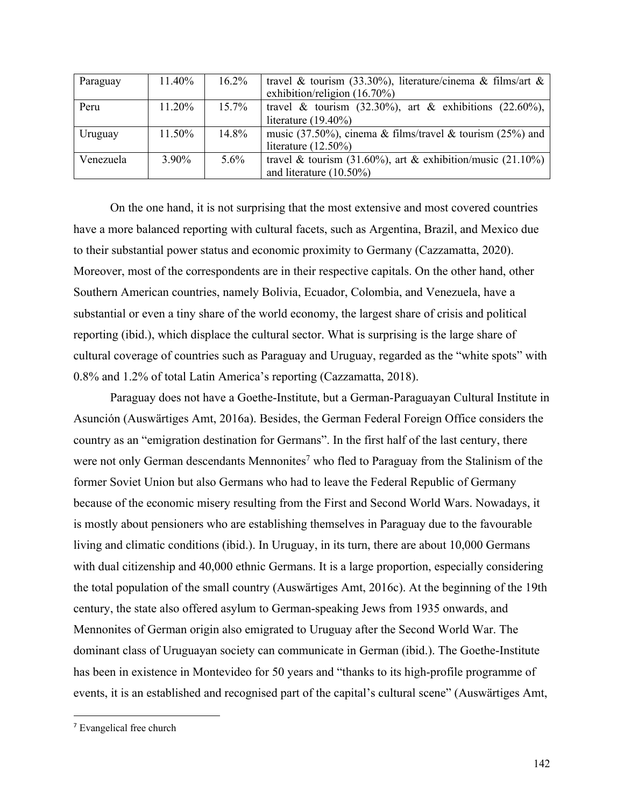| Paraguay  | 11.40% | $16.2\%$ | travel & tourism (33.30%), literature/cinema & films/art &     |
|-----------|--------|----------|----------------------------------------------------------------|
|           |        |          | exhibition/religion $(16.70\%)$                                |
| Peru      | 11.20% | $15.7\%$ | travel & tourism $(32.30\%)$ , art & exhibitions $(22.60\%)$ , |
|           |        |          | literature $(19.40\%)$                                         |
| Uruguay   | 11.50% | 14.8%    | music (37.50%), cinema & films/travel & tourism (25%) and      |
|           |        |          | literature $(12.50\%)$                                         |
| Venezuela | 3.90%  | $5.6\%$  | travel & tourism (31.60%), art & exhibition/music (21.10%)     |
|           |        |          | and literature $(10.50\%)$                                     |

On the one hand, it is not surprising that the most extensive and most covered countries have a more balanced reporting with cultural facets, such as Argentina, Brazil, and Mexico due to their substantial power status and economic proximity to Germany (Cazzamatta, 2020). Moreover, most of the correspondents are in their respective capitals. On the other hand, other Southern American countries, namely Bolivia, Ecuador, Colombia, and Venezuela, have a substantial or even a tiny share of the world economy, the largest share of crisis and political reporting (ibid.), which displace the cultural sector. What is surprising is the large share of cultural coverage of countries such as Paraguay and Uruguay, regarded as the "white spots" with 0.8% and 1.2% of total Latin America's reporting (Cazzamatta, 2018).

Paraguay does not have a Goethe-Institute, but a German-Paraguayan Cultural Institute in Asunción (Auswärtiges Amt, 2016a). Besides, the German Federal Foreign Office considers the country as an "emigration destination for Germans". In the first half of the last century, there were not only German descendants Mennonites<sup>7</sup> who fled to Paraguay from the Stalinism of the former Soviet Union but also Germans who had to leave the Federal Republic of Germany because of the economic misery resulting from the First and Second World Wars. Nowadays, it is mostly about pensioners who are establishing themselves in Paraguay due to the favourable living and climatic conditions (ibid.). In Uruguay, in its turn, there are about 10,000 Germans with dual citizenship and 40,000 ethnic Germans. It is a large proportion, especially considering the total population of the small country (Auswärtiges Amt, 2016c). At the beginning of the 19th century, the state also offered asylum to German-speaking Jews from 1935 onwards, and Mennonites of German origin also emigrated to Uruguay after the Second World War. The dominant class of Uruguayan society can communicate in German (ibid.). The Goethe-Institute has been in existence in Montevideo for 50 years and "thanks to its high-profile programme of events, it is an established and recognised part of the capital's cultural scene" (Auswärtiges Amt,

<sup>7</sup> Evangelical free church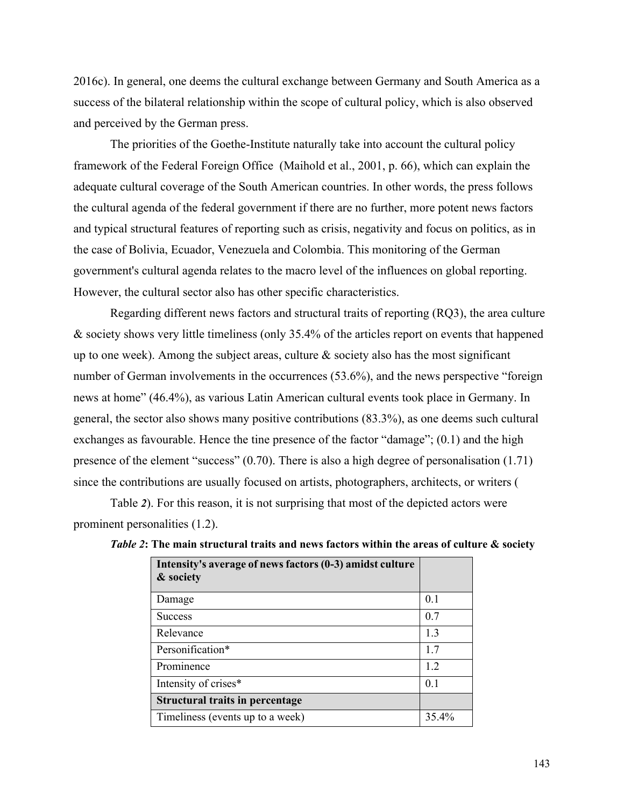2016c). In general, one deems the cultural exchange between Germany and South America as a success of the bilateral relationship within the scope of cultural policy, which is also observed and perceived by the German press.

The priorities of the Goethe-Institute naturally take into account the cultural policy framework of the Federal Foreign Office (Maihold et al., 2001, p. 66), which can explain the adequate cultural coverage of the South American countries. In other words, the press follows the cultural agenda of the federal government if there are no further, more potent news factors and typical structural features of reporting such as crisis, negativity and focus on politics, as in the case of Bolivia, Ecuador, Venezuela and Colombia. This monitoring of the German government's cultural agenda relates to the macro level of the influences on global reporting. However, the cultural sector also has other specific characteristics.

Regarding different news factors and structural traits of reporting (RQ3), the area culture & society shows very little timeliness (only 35.4% of the articles report on events that happened up to one week). Among the subject areas, culture  $\&$  society also has the most significant number of German involvements in the occurrences (53.6%), and the news perspective "foreign news at home" (46.4%), as various Latin American cultural events took place in Germany. In general, the sector also shows many positive contributions (83.3%), as one deems such cultural exchanges as favourable. Hence the tine presence of the factor "damage"; (0.1) and the high presence of the element "success" (0.70). There is also a high degree of personalisation (1.71) since the contributions are usually focused on artists, photographers, architects, or writers (

Table *2*). For this reason, it is not surprising that most of the depicted actors were prominent personalities (1.2).

| Intensity's average of news factors (0-3) amidst culture<br>& society |       |
|-----------------------------------------------------------------------|-------|
| Damage                                                                | 0.1   |
| <b>Success</b>                                                        | 0.7   |
| Relevance                                                             | 1.3   |
| Personification*                                                      | 1.7   |
| Prominence                                                            | 1.2   |
| Intensity of crises*                                                  | 0.1   |
| <b>Structural traits in percentage</b>                                |       |
| Timeliness (events up to a week)                                      | 35.4% |

*Table 2***: The main structural traits and news factors within the areas of culture & society**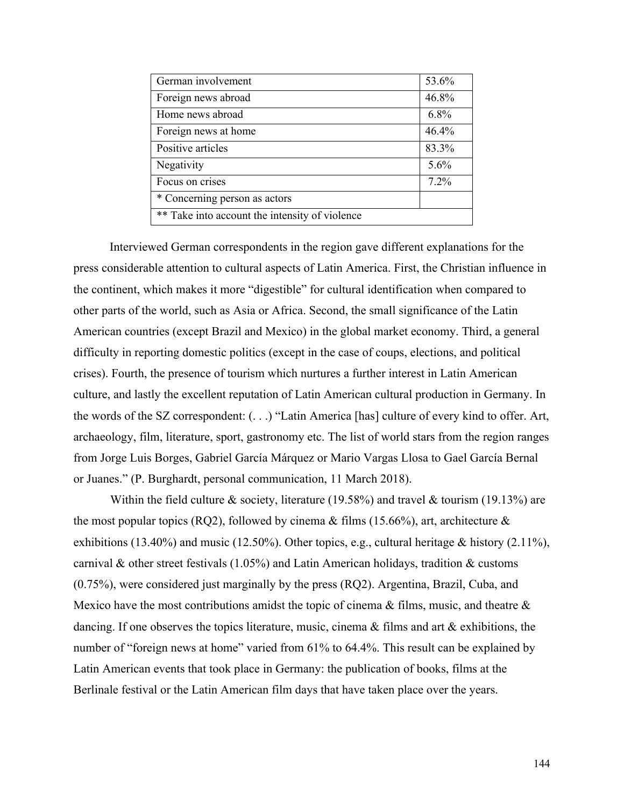| German involvement                             | 53.6%   |  |
|------------------------------------------------|---------|--|
| Foreign news abroad                            | 46.8%   |  |
| Home news abroad                               | 6.8%    |  |
| Foreign news at home                           | 46.4%   |  |
| Positive articles                              | 83.3%   |  |
| Negativity                                     | $5.6\%$ |  |
| Focus on crises                                | $7.2\%$ |  |
| * Concerning person as actors                  |         |  |
| ** Take into account the intensity of violence |         |  |

Interviewed German correspondents in the region gave different explanations for the press considerable attention to cultural aspects of Latin America. First, the Christian influence in the continent, which makes it more "digestible" for cultural identification when compared to other parts of the world, such as Asia or Africa. Second, the small significance of the Latin American countries (except Brazil and Mexico) in the global market economy. Third, a general difficulty in reporting domestic politics (except in the case of coups, elections, and political crises). Fourth, the presence of tourism which nurtures a further interest in Latin American culture, and lastly the excellent reputation of Latin American cultural production in Germany. In the words of the SZ correspondent: (. . .) "Latin America [has] culture of every kind to offer. Art, archaeology, film, literature, sport, gastronomy etc. The list of world stars from the region ranges from Jorge Luis Borges, Gabriel García Márquez or Mario Vargas Llosa to Gael García Bernal or Juanes." (P. Burghardt, personal communication, 11 March 2018).

Within the field culture & society, literature (19.58%) and travel & tourism (19.13%) are the most popular topics (RQ2), followed by cinema & films (15.66%), art, architecture  $\&$ exhibitions (13.40%) and music (12.50%). Other topics, e.g., cultural heritage & history (2.11%), carnival & other street festivals (1.05%) and Latin American holidays, tradition & customs (0.75%), were considered just marginally by the press (RQ2). Argentina, Brazil, Cuba, and Mexico have the most contributions amidst the topic of cinema & films, music, and theatre & dancing. If one observes the topics literature, music, cinema & films and art & exhibitions, the number of "foreign news at home" varied from 61% to 64.4%. This result can be explained by Latin American events that took place in Germany: the publication of books, films at the Berlinale festival or the Latin American film days that have taken place over the years.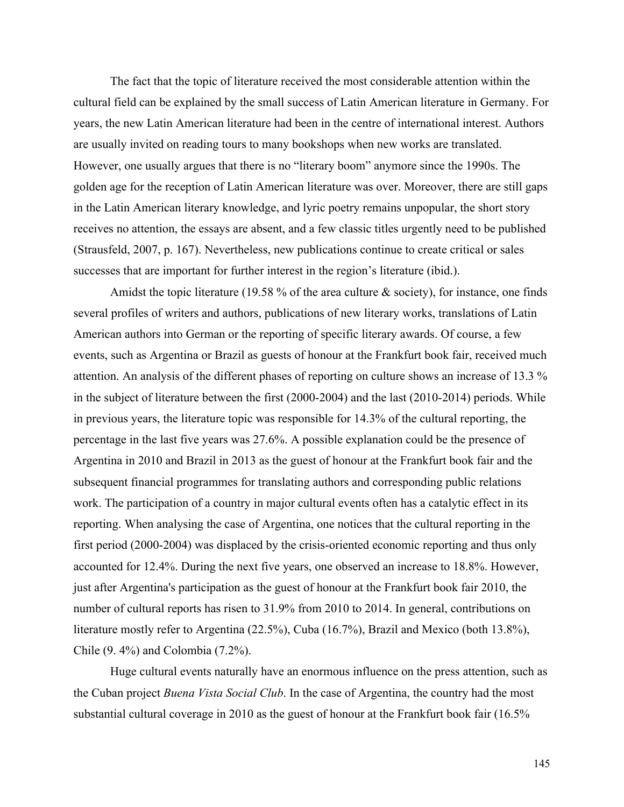The fact that the topic of literature received the most considerable attention within the cultural field can be explained by the small success of Latin American literature in Germany. For years, the new Latin American literature had been in the centre of international interest. Authors are usually invited on reading tours to many bookshops when new works are translated. However, one usually argues that there is no "literary boom" anymore since the 1990s. The golden age for the reception of Latin American literature was over. Moreover, there are still gaps in the Latin American literary knowledge, and lyric poetry remains unpopular, the short story receives no attention, the essays are absent, and a few classic titles urgently need to be published (Strausfeld, 2007, p. 167). Nevertheless, new publications continue to create critical or sales successes that are important for further interest in the region's literature (ibid.).

Amidst the topic literature (19.58 % of the area culture & society), for instance, one finds several profiles of writers and authors, publications of new literary works, translations of Latin American authors into German or the reporting of specific literary awards. Of course, a few events, such as Argentina or Brazil as guests of honour at the Frankfurt book fair, received much attention. An analysis of the different phases of reporting on culture shows an increase of 13.3 % in the subject of literature between the first (2000-2004) and the last (2010-2014) periods. While in previous years, the literature topic was responsible for 14.3% of the cultural reporting, the percentage in the last five years was 27.6%. A possible explanation could be the presence of Argentina in 2010 and Brazil in 2013 as the guest of honour at the Frankfurt book fair and the subsequent financial programmes for translating authors and corresponding public relations work. The participation of a country in major cultural events often has a catalytic effect in its reporting. When analysing the case of Argentina, one notices that the cultural reporting in the first period (2000-2004) was displaced by the crisis-oriented economic reporting and thus only accounted for 12.4%. During the next five years, one observed an increase to 18.8%. However, just after Argentina's participation as the guest of honour at the Frankfurt book fair 2010, the number of cultural reports has risen to 31.9% from 2010 to 2014. In general, contributions on literature mostly refer to Argentina (22.5%), Cuba (16.7%), Brazil and Mexico (both 13.8%), Chile (9. 4%) and Colombia (7.2%).

Huge cultural events naturally have an enormous influence on the press attention, such as the Cuban project *Buena Vista Social Club*. In the case of Argentina, the country had the most substantial cultural coverage in 2010 as the guest of honour at the Frankfurt book fair (16.5%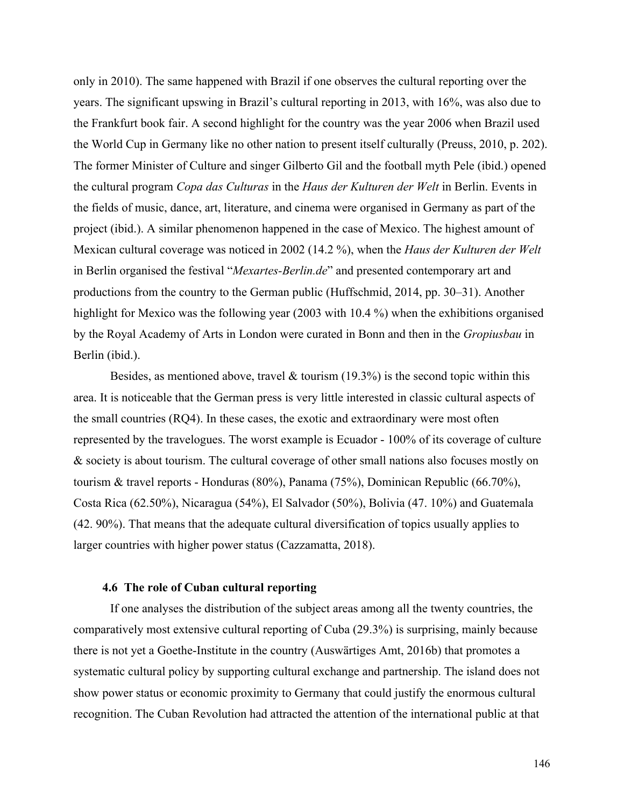only in 2010). The same happened with Brazil if one observes the cultural reporting over the years. The significant upswing in Brazil's cultural reporting in 2013, with 16%, was also due to the Frankfurt book fair. A second highlight for the country was the year 2006 when Brazil used the World Cup in Germany like no other nation to present itself culturally (Preuss, 2010, p. 202). The former Minister of Culture and singer Gilberto Gil and the football myth Pele (ibid.) opened the cultural program *Copa das Culturas* in the *Haus der Kulturen der Welt* in Berlin. Events in the fields of music, dance, art, literature, and cinema were organised in Germany as part of the project (ibid.). A similar phenomenon happened in the case of Mexico. The highest amount of Mexican cultural coverage was noticed in 2002 (14.2 %), when the *Haus der Kulturen der Welt* in Berlin organised the festival "*Mexartes-Berlin.de*" and presented contemporary art and productions from the country to the German public (Huffschmid, 2014, pp. 30–31). Another highlight for Mexico was the following year (2003 with 10.4 %) when the exhibitions organised by the Royal Academy of Arts in London were curated in Bonn and then in the *Gropiusbau* in Berlin (ibid.).

Besides, as mentioned above, travel & tourism  $(19.3%)$  is the second topic within this area. It is noticeable that the German press is very little interested in classic cultural aspects of the small countries (RQ4). In these cases, the exotic and extraordinary were most often represented by the travelogues. The worst example is Ecuador - 100% of its coverage of culture & society is about tourism. The cultural coverage of other small nations also focuses mostly on tourism & travel reports - Honduras (80%), Panama (75%), Dominican Republic (66.70%), Costa Rica (62.50%), Nicaragua (54%), El Salvador (50%), Bolivia (47. 10%) and Guatemala (42. 90%). That means that the adequate cultural diversification of topics usually applies to larger countries with higher power status (Cazzamatta, 2018).

## **4.6 The role of Cuban cultural reporting**

If one analyses the distribution of the subject areas among all the twenty countries, the comparatively most extensive cultural reporting of Cuba (29.3%) is surprising, mainly because there is not yet a Goethe-Institute in the country (Auswärtiges Amt, 2016b) that promotes a systematic cultural policy by supporting cultural exchange and partnership. The island does not show power status or economic proximity to Germany that could justify the enormous cultural recognition. The Cuban Revolution had attracted the attention of the international public at that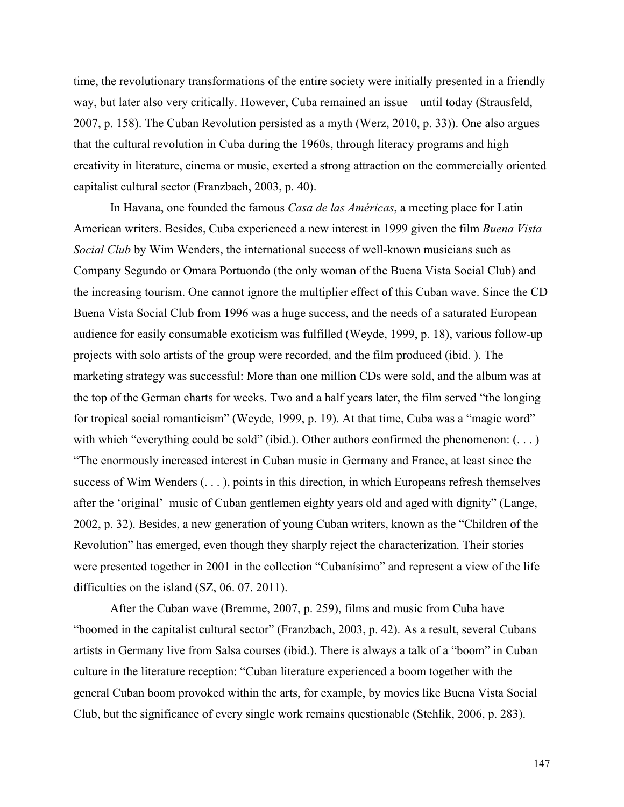time, the revolutionary transformations of the entire society were initially presented in a friendly way, but later also very critically. However, Cuba remained an issue – until today (Strausfeld, 2007, p. 158). The Cuban Revolution persisted as a myth (Werz, 2010, p. 33)). One also argues that the cultural revolution in Cuba during the 1960s, through literacy programs and high creativity in literature, cinema or music, exerted a strong attraction on the commercially oriented capitalist cultural sector (Franzbach, 2003, p. 40).

In Havana, one founded the famous *Casa de las Américas*, a meeting place for Latin American writers. Besides, Cuba experienced a new interest in 1999 given the film *Buena Vista Social Club* by Wim Wenders, the international success of well-known musicians such as Company Segundo or Omara Portuondo (the only woman of the Buena Vista Social Club) and the increasing tourism. One cannot ignore the multiplier effect of this Cuban wave. Since the CD Buena Vista Social Club from 1996 was a huge success, and the needs of a saturated European audience for easily consumable exoticism was fulfilled (Weyde, 1999, p. 18), various follow-up projects with solo artists of the group were recorded, and the film produced (ibid. ). The marketing strategy was successful: More than one million CDs were sold, and the album was at the top of the German charts for weeks. Two and a half years later, the film served "the longing for tropical social romanticism" (Weyde, 1999, p. 19). At that time, Cuba was a "magic word" with which "everything could be sold" (ibid.). Other authors confirmed the phenomenon:  $(\dots)$ "The enormously increased interest in Cuban music in Germany and France, at least since the success of Wim Wenders (. . . ), points in this direction, in which Europeans refresh themselves after the 'original' music of Cuban gentlemen eighty years old and aged with dignity" (Lange, 2002, p. 32). Besides, a new generation of young Cuban writers, known as the "Children of the Revolution" has emerged, even though they sharply reject the characterization. Their stories were presented together in 2001 in the collection "Cubanísimo" and represent a view of the life difficulties on the island (SZ, 06. 07. 2011).

After the Cuban wave (Bremme, 2007, p. 259), films and music from Cuba have "boomed in the capitalist cultural sector" (Franzbach, 2003, p. 42). As a result, several Cubans artists in Germany live from Salsa courses (ibid.). There is always a talk of a "boom" in Cuban culture in the literature reception: "Cuban literature experienced a boom together with the general Cuban boom provoked within the arts, for example, by movies like Buena Vista Social Club, but the significance of every single work remains questionable (Stehlik, 2006, p. 283).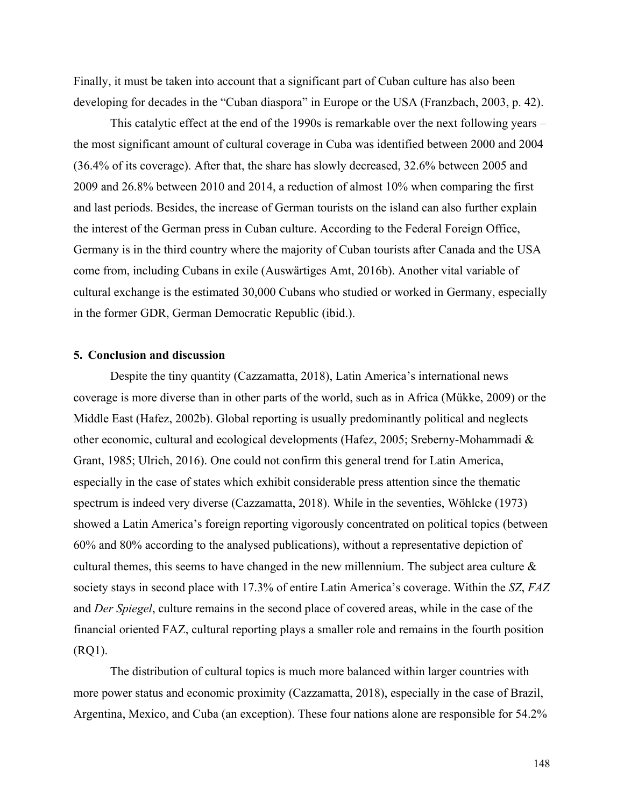Finally, it must be taken into account that a significant part of Cuban culture has also been developing for decades in the "Cuban diaspora" in Europe or the USA (Franzbach, 2003, p. 42).

This catalytic effect at the end of the 1990s is remarkable over the next following years – the most significant amount of cultural coverage in Cuba was identified between 2000 and 2004 (36.4% of its coverage). After that, the share has slowly decreased, 32.6% between 2005 and 2009 and 26.8% between 2010 and 2014, a reduction of almost 10% when comparing the first and last periods. Besides, the increase of German tourists on the island can also further explain the interest of the German press in Cuban culture. According to the Federal Foreign Office, Germany is in the third country where the majority of Cuban tourists after Canada and the USA come from, including Cubans in exile (Auswärtiges Amt, 2016b). Another vital variable of cultural exchange is the estimated 30,000 Cubans who studied or worked in Germany, especially in the former GDR, German Democratic Republic (ibid.).

## **5. Conclusion and discussion**

Despite the tiny quantity (Cazzamatta, 2018), Latin America's international news coverage is more diverse than in other parts of the world, such as in Africa (Mükke, 2009) or the Middle East (Hafez, 2002b). Global reporting is usually predominantly political and neglects other economic, cultural and ecological developments (Hafez, 2005; Sreberny-Mohammadi & Grant, 1985; Ulrich, 2016). One could not confirm this general trend for Latin America, especially in the case of states which exhibit considerable press attention since the thematic spectrum is indeed very diverse (Cazzamatta, 2018). While in the seventies, Wöhlcke (1973) showed a Latin America's foreign reporting vigorously concentrated on political topics (between 60% and 80% according to the analysed publications), without a representative depiction of cultural themes, this seems to have changed in the new millennium. The subject area culture & society stays in second place with 17.3% of entire Latin America's coverage. Within the *SZ*, *FAZ* and *Der Spiegel*, culture remains in the second place of covered areas, while in the case of the financial oriented FAZ, cultural reporting plays a smaller role and remains in the fourth position (RQ1).

The distribution of cultural topics is much more balanced within larger countries with more power status and economic proximity (Cazzamatta, 2018), especially in the case of Brazil, Argentina, Mexico, and Cuba (an exception). These four nations alone are responsible for 54.2%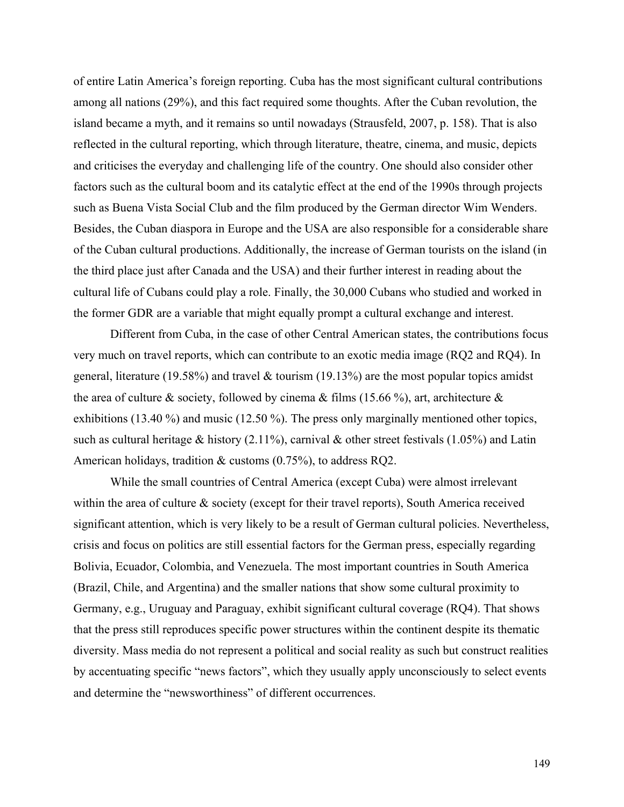of entire Latin America's foreign reporting. Cuba has the most significant cultural contributions among all nations (29%), and this fact required some thoughts. After the Cuban revolution, the island became a myth, and it remains so until nowadays (Strausfeld, 2007, p. 158). That is also reflected in the cultural reporting, which through literature, theatre, cinema, and music, depicts and criticises the everyday and challenging life of the country. One should also consider other factors such as the cultural boom and its catalytic effect at the end of the 1990s through projects such as Buena Vista Social Club and the film produced by the German director Wim Wenders. Besides, the Cuban diaspora in Europe and the USA are also responsible for a considerable share of the Cuban cultural productions. Additionally, the increase of German tourists on the island (in the third place just after Canada and the USA) and their further interest in reading about the cultural life of Cubans could play a role. Finally, the 30,000 Cubans who studied and worked in the former GDR are a variable that might equally prompt a cultural exchange and interest.

Different from Cuba, in the case of other Central American states, the contributions focus very much on travel reports, which can contribute to an exotic media image (RQ2 and RQ4). In general, literature (19.58%) and travel & tourism (19.13%) are the most popular topics amidst the area of culture & society, followed by cinema & films (15.66 %), art, architecture  $\&$ exhibitions (13.40 %) and music (12.50 %). The press only marginally mentioned other topics, such as cultural heritage & history (2.11%), carnival & other street festivals (1.05%) and Latin American holidays, tradition & customs (0.75%), to address RQ2.

While the small countries of Central America (except Cuba) were almost irrelevant within the area of culture & society (except for their travel reports), South America received significant attention, which is very likely to be a result of German cultural policies. Nevertheless, crisis and focus on politics are still essential factors for the German press, especially regarding Bolivia, Ecuador, Colombia, and Venezuela. The most important countries in South America (Brazil, Chile, and Argentina) and the smaller nations that show some cultural proximity to Germany, e.g., Uruguay and Paraguay, exhibit significant cultural coverage (RQ4). That shows that the press still reproduces specific power structures within the continent despite its thematic diversity. Mass media do not represent a political and social reality as such but construct realities by accentuating specific "news factors", which they usually apply unconsciously to select events and determine the "newsworthiness" of different occurrences.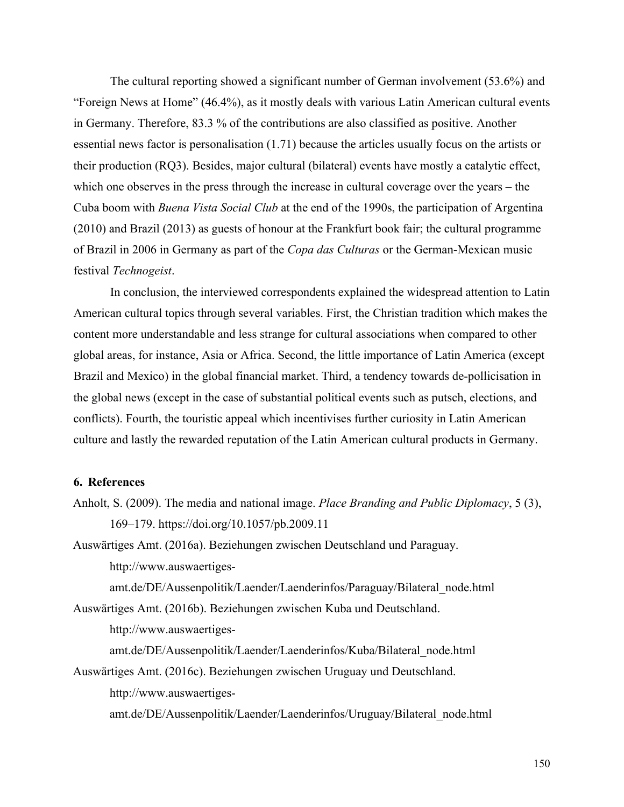The cultural reporting showed a significant number of German involvement (53.6%) and "Foreign News at Home" (46.4%), as it mostly deals with various Latin American cultural events in Germany. Therefore, 83.3 % of the contributions are also classified as positive. Another essential news factor is personalisation (1.71) because the articles usually focus on the artists or their production (RQ3). Besides, major cultural (bilateral) events have mostly a catalytic effect, which one observes in the press through the increase in cultural coverage over the years – the Cuba boom with *Buena Vista Social Club* at the end of the 1990s, the participation of Argentina (2010) and Brazil (2013) as guests of honour at the Frankfurt book fair; the cultural programme of Brazil in 2006 in Germany as part of the *Copa das Culturas* or the German-Mexican music festival *Technogeist*.

In conclusion, the interviewed correspondents explained the widespread attention to Latin American cultural topics through several variables. First, the Christian tradition which makes the content more understandable and less strange for cultural associations when compared to other global areas, for instance, Asia or Africa. Second, the little importance of Latin America (except Brazil and Mexico) in the global financial market. Third, a tendency towards de-pollicisation in the global news (except in the case of substantial political events such as putsch, elections, and conflicts). Fourth, the touristic appeal which incentivises further curiosity in Latin American culture and lastly the rewarded reputation of the Latin American cultural products in Germany.

# **6. References**

Anholt, S. (2009). The media and national image. *Place Branding and Public Diplomacy*, 5 (3), 169–179. https://doi.org/10.1057/pb.2009.11

Auswärtiges Amt. (2016a). Beziehungen zwischen Deutschland und Paraguay. http://www.auswaertiges-

amt.de/DE/Aussenpolitik/Laender/Laenderinfos/Paraguay/Bilateral\_node.html Auswärtiges Amt. (2016b). Beziehungen zwischen Kuba und Deutschland.

http://www.auswaertiges-

amt.de/DE/Aussenpolitik/Laender/Laenderinfos/Kuba/Bilateral\_node.html

Auswärtiges Amt. (2016c). Beziehungen zwischen Uruguay und Deutschland. http://www.auswaertiges-

amt.de/DE/Aussenpolitik/Laender/Laenderinfos/Uruguay/Bilateral\_node.html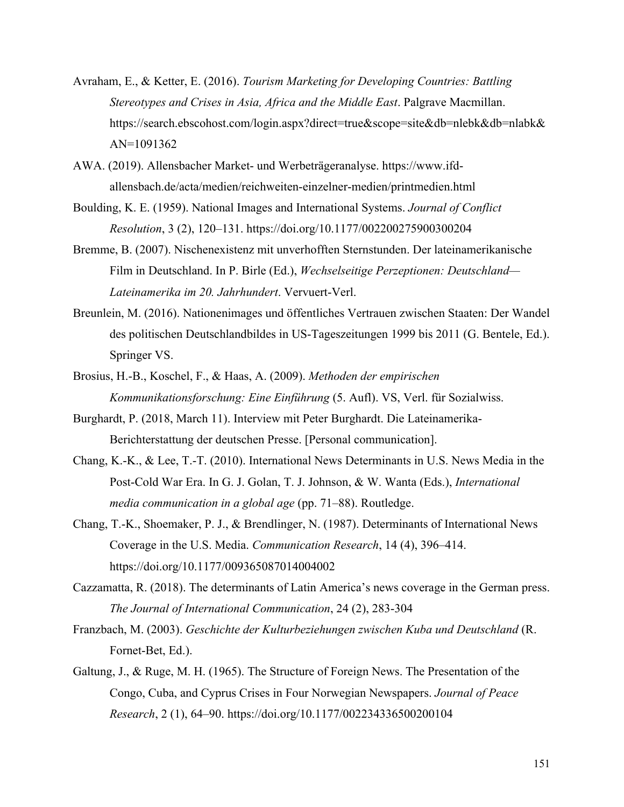- Avraham, E., & Ketter, E. (2016). *Tourism Marketing for Developing Countries: Battling Stereotypes and Crises in Asia, Africa and the Middle East*. Palgrave Macmillan. https://search.ebscohost.com/login.aspx?direct=true&scope=site&db=nlebk&db=nlabk& AN=1091362
- AWA. (2019). Allensbacher Market- und Werbeträgeranalyse. https://www.ifdallensbach.de/acta/medien/reichweiten-einzelner-medien/printmedien.html
- Boulding, K. E. (1959). National Images and International Systems. *Journal of Conflict Resolution*, 3 (2), 120–131. https://doi.org/10.1177/002200275900300204
- Bremme, B. (2007). Nischenexistenz mit unverhofften Sternstunden. Der lateinamerikanische Film in Deutschland. In P. Birle (Ed.), *Wechselseitige Perzeptionen: Deutschland— Lateinamerika im 20. Jahrhundert*. Vervuert-Verl.
- Breunlein, M. (2016). Nationenimages und öffentliches Vertrauen zwischen Staaten: Der Wandel des politischen Deutschlandbildes in US-Tageszeitungen 1999 bis 2011 (G. Bentele, Ed.). Springer VS.
- Brosius, H.-B., Koschel, F., & Haas, A. (2009). *Methoden der empirischen Kommunikationsforschung: Eine Einführung* (5. Aufl). VS, Verl. für Sozialwiss.
- Burghardt, P. (2018, March 11). Interview mit Peter Burghardt. Die Lateinamerika-Berichterstattung der deutschen Presse. [Personal communication].
- Chang, K.-K., & Lee, T.-T. (2010). International News Determinants in U.S. News Media in the Post-Cold War Era. In G. J. Golan, T. J. Johnson, & W. Wanta (Eds.), *International media communication in a global age* (pp. 71–88). Routledge.
- Chang, T.-K., Shoemaker, P. J., & Brendlinger, N. (1987). Determinants of International News Coverage in the U.S. Media. *Communication Research*, 14 (4), 396–414. https://doi.org/10.1177/009365087014004002
- Cazzamatta, R. (2018). The determinants of Latin America's news coverage in the German press. *The Journal of International Communication*, 24 (2), 283-304
- Franzbach, M. (2003). *Geschichte der Kulturbeziehungen zwischen Kuba und Deutschland* (R. Fornet-Bet, Ed.).
- Galtung, J., & Ruge, M. H. (1965). The Structure of Foreign News. The Presentation of the Congo, Cuba, and Cyprus Crises in Four Norwegian Newspapers. *Journal of Peace Research*, 2 (1), 64–90. https://doi.org/10.1177/002234336500200104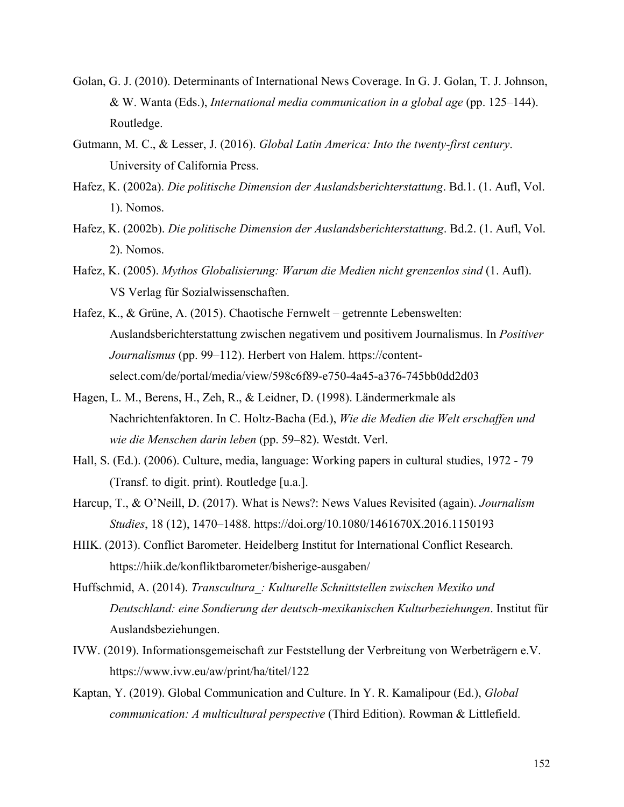- Golan, G. J. (2010). Determinants of International News Coverage. In G. J. Golan, T. J. Johnson, & W. Wanta (Eds.), *International media communication in a global age* (pp. 125–144). Routledge.
- Gutmann, M. C., & Lesser, J. (2016). *Global Latin America: Into the twenty-first century*. University of California Press.
- Hafez, K. (2002a). *Die politische Dimension der Auslandsberichterstattung*. Bd.1. (1. Aufl, Vol. 1). Nomos.
- Hafez, K. (2002b). *Die politische Dimension der Auslandsberichterstattung*. Bd.2. (1. Aufl, Vol. 2). Nomos.
- Hafez, K. (2005). *Mythos Globalisierung: Warum die Medien nicht grenzenlos sind* (1. Aufl). VS Verlag für Sozialwissenschaften.
- Hafez, K., & Grüne, A. (2015). Chaotische Fernwelt getrennte Lebenswelten: Auslandsberichterstattung zwischen negativem und positivem Journalismus. In *Positiver Journalismus* (pp. 99–112). Herbert von Halem. https://contentselect.com/de/portal/media/view/598c6f89-e750-4a45-a376-745bb0dd2d03
- Hagen, L. M., Berens, H., Zeh, R., & Leidner, D. (1998). Ländermerkmale als Nachrichtenfaktoren. In C. Holtz-Bacha (Ed.), *Wie die Medien die Welt erschaffen und wie die Menschen darin leben* (pp. 59–82). Westdt. Verl.
- Hall, S. (Ed.). (2006). Culture, media, language: Working papers in cultural studies, 1972 79 (Transf. to digit. print). Routledge [u.a.].
- Harcup, T., & O'Neill, D. (2017). What is News?: News Values Revisited (again). *Journalism Studies*, 18 (12), 1470–1488. https://doi.org/10.1080/1461670X.2016.1150193
- HIIK. (2013). Conflict Barometer. Heidelberg Institut for International Conflict Research. https://hiik.de/konfliktbarometer/bisherige-ausgaben/
- Huffschmid, A. (2014). *Transcultura\_: Kulturelle Schnittstellen zwischen Mexiko und Deutschland: eine Sondierung der deutsch-mexikanischen Kulturbeziehungen*. Institut für Auslandsbeziehungen.
- IVW. (2019). Informationsgemeischaft zur Feststellung der Verbreitung von Werbeträgern e.V. https://www.ivw.eu/aw/print/ha/titel/122
- Kaptan, Y. (2019). Global Communication and Culture. In Y. R. Kamalipour (Ed.), *Global communication: A multicultural perspective* (Third Edition). Rowman & Littlefield.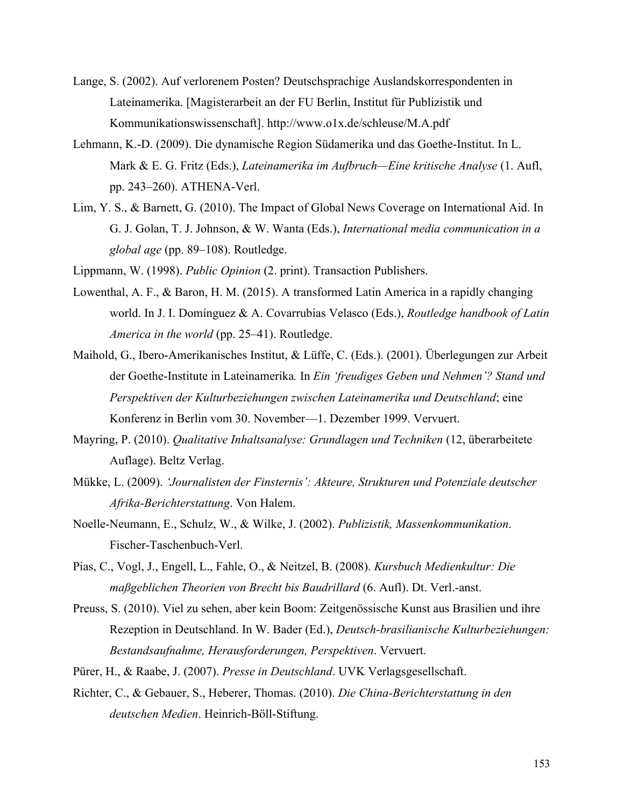- Lange, S. (2002). Auf verlorenem Posten? Deutschsprachige Auslandskorrespondenten in Lateinamerika. [Magisterarbeit an der FU Berlin, Institut für Publizistik und Kommunikationswissenschaft]. http://www.o1x.de/schleuse/M.A.pdf
- Lehmann, K.-D. (2009). Die dynamische Region Südamerika und das Goethe-Institut. In L. Mark & E. G. Fritz (Eds.), *Lateinamerika im Aufbruch—Eine kritische Analyse* (1. Aufl, pp. 243–260). ATHENA-Verl.
- Lim, Y. S., & Barnett, G. (2010). The Impact of Global News Coverage on International Aid. In G. J. Golan, T. J. Johnson, & W. Wanta (Eds.), *International media communication in a global age* (pp. 89–108). Routledge.
- Lippmann, W. (1998). *Public Opinion* (2. print). Transaction Publishers.
- Lowenthal, A. F., & Baron, H. M. (2015). A transformed Latin America in a rapidly changing world. In J. I. Domínguez & A. Covarrubias Velasco (Eds.), *Routledge handbook of Latin America in the world* (pp. 25–41). Routledge.
- Maihold, G., Ibero-Amerikanisches Institut, & Lüffe, C. (Eds.). (2001). Überlegungen zur Arbeit der Goethe-Institute in Lateinamerika*.* In *Ein 'freudiges Geben und Nehmen'? Stand und Perspektiven der Kulturbeziehungen zwischen Lateinamerika und Deutschland*; eine Konferenz in Berlin vom 30. November—1. Dezember 1999. Vervuert.
- Mayring, P. (2010). *Qualitative Inhaltsanalyse: Grundlagen und Techniken* (12, überarbeitete Auflage). Beltz Verlag.
- Mükke, L. (2009). *'Journalisten der Finsternis': Akteure, Strukturen und Potenziale deutscher Afrika-Berichterstattung*. Von Halem.
- Noelle-Neumann, E., Schulz, W., & Wilke, J. (2002). *Publizistik, Massenkommunikation*. Fischer-Taschenbuch-Verl.
- Pias, C., Vogl, J., Engell, L., Fahle, O., & Neitzel, B. (2008). *Kursbuch Medienkultur: Die maßgeblichen Theorien von Brecht bis Baudrillard* (6. Aufl). Dt. Verl.-anst.
- Preuss, S. (2010). Viel zu sehen, aber kein Boom: Zeitgenössische Kunst aus Brasilien und ihre Rezeption in Deutschland. In W. Bader (Ed.), *Deutsch-brasilianische Kulturbeziehungen: Bestandsaufnahme, Herausforderungen, Perspektiven*. Vervuert.
- Pürer, H., & Raabe, J. (2007). *Presse in Deutschland*. UVK Verlagsgesellschaft.
- Richter, C., & Gebauer, S., Heberer, Thomas. (2010). *Die China-Berichterstattung in den deutschen Medien*. Heinrich-Böll-Stiftung.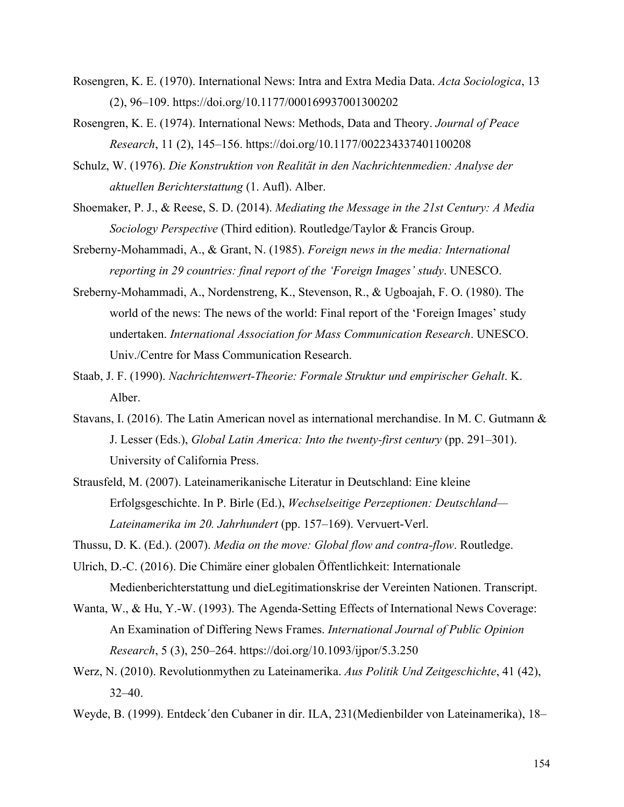- Rosengren, K. E. (1970). International News: Intra and Extra Media Data. *Acta Sociologica*, 13 (2), 96–109. https://doi.org/10.1177/000169937001300202
- Rosengren, K. E. (1974). International News: Methods, Data and Theory. *Journal of Peace Research*, 11 (2), 145–156. https://doi.org/10.1177/002234337401100208
- Schulz, W. (1976). *Die Konstruktion von Realität in den Nachrichtenmedien: Analyse der aktuellen Berichterstattung* (1. Aufl). Alber.
- Shoemaker, P. J., & Reese, S. D. (2014). *Mediating the Message in the 21st Century: A Media Sociology Perspective* (Third edition). Routledge/Taylor & Francis Group.
- Sreberny-Mohammadi, A., & Grant, N. (1985). *Foreign news in the media: International reporting in 29 countries: final report of the 'Foreign Images' study*. UNESCO.
- Sreberny-Mohammadi, A., Nordenstreng, K., Stevenson, R., & Ugboajah, F. O. (1980). The world of the news: The news of the world: Final report of the 'Foreign Images' study undertaken. *International Association for Mass Communication Research*. UNESCO. Univ./Centre for Mass Communication Research.
- Staab, J. F. (1990). *Nachrichtenwert-Theorie: Formale Struktur und empirischer Gehalt*. K. Alber.
- Stavans, I. (2016). The Latin American novel as international merchandise. In M. C. Gutmann & J. Lesser (Eds.), *Global Latin America: Into the twenty-first century* (pp. 291–301). University of California Press.
- Strausfeld, M. (2007). Lateinamerikanische Literatur in Deutschland: Eine kleine Erfolgsgeschichte. In P. Birle (Ed.), *Wechselseitige Perzeptionen: Deutschland— Lateinamerika im 20. Jahrhundert* (pp. 157–169). Vervuert-Verl.

Thussu, D. K. (Ed.). (2007). *Media on the move: Global flow and contra-flow*. Routledge.

- Ulrich, D.-C. (2016). Die Chimäre einer globalen Öffentlichkeit: Internationale Medienberichterstattung und dieLegitimationskrise der Vereinten Nationen. Transcript.
- Wanta, W., & Hu, Y.-W. (1993). The Agenda-Setting Effects of International News Coverage: An Examination of Differing News Frames. *International Journal of Public Opinion Research*, 5 (3), 250–264. https://doi.org/10.1093/ijpor/5.3.250
- Werz, N. (2010). Revolutionmythen zu Lateinamerika. *Aus Politik Und Zeitgeschichte*, 41 (42), 32–40.
- Weyde, B. (1999). Entdeck´den Cubaner in dir. ILA, 231(Medienbilder von Lateinamerika), 18–